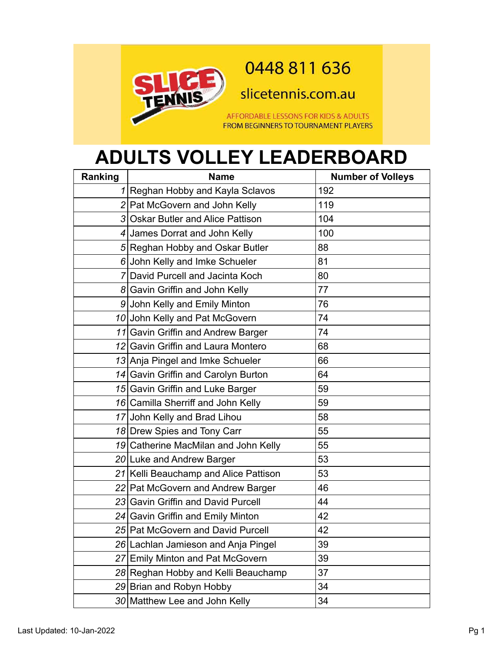

## 0448 811 636

slicetennis.com.au

AFFORDABLE LESSONS FOR KIDS & ADULTS FROM BEGINNERS TO TOURNAMENT PLAYERS

## **ADULTS VOLLEY LEADERBOARD**

| Ranking | <b>Name</b>                           | <b>Number of Volleys</b> |
|---------|---------------------------------------|--------------------------|
|         | 1 Reghan Hobby and Kayla Sclavos      | 192                      |
|         | 2 Pat McGovern and John Kelly         | 119                      |
|         | 3 Oskar Butler and Alice Pattison     | 104                      |
|         | 4 James Dorrat and John Kelly         | 100                      |
|         | 5 Reghan Hobby and Oskar Butler       | 88                       |
|         | 6 John Kelly and Imke Schueler        | 81                       |
|         | 7 David Purcell and Jacinta Koch      | 80                       |
|         | 8 Gavin Griffin and John Kelly        | 77                       |
|         | 9 John Kelly and Emily Minton         | 76                       |
|         | 10 John Kelly and Pat McGovern        | 74                       |
|         | 11 Gavin Griffin and Andrew Barger    | 74                       |
|         | 12 Gavin Griffin and Laura Montero    | 68                       |
|         | 13 Anja Pingel and Imke Schueler      | 66                       |
|         | 14 Gavin Griffin and Carolyn Burton   | 64                       |
|         | 15 Gavin Griffin and Luke Barger      | 59                       |
|         | 16 Camilla Sherriff and John Kelly    | 59                       |
|         | 17 John Kelly and Brad Lihou          | 58                       |
|         | 18 Drew Spies and Tony Carr           | 55                       |
|         | 19 Catherine MacMilan and John Kelly  | 55                       |
|         | 20 Luke and Andrew Barger             | 53                       |
|         | 21 Kelli Beauchamp and Alice Pattison | 53                       |
|         | 22 Pat McGovern and Andrew Barger     | 46                       |
|         | 23 Gavin Griffin and David Purcell    | 44                       |
|         | 24 Gavin Griffin and Emily Minton     | 42                       |
|         | 25 Pat McGovern and David Purcell     | 42                       |
|         | 26 Lachlan Jamieson and Anja Pingel   | 39                       |
| 27 I    | <b>Emily Minton and Pat McGovern</b>  | 39                       |
|         | 28 Reghan Hobby and Kelli Beauchamp   | 37                       |
|         | 29 Brian and Robyn Hobby              | 34                       |
|         | 30 Matthew Lee and John Kelly         | 34                       |